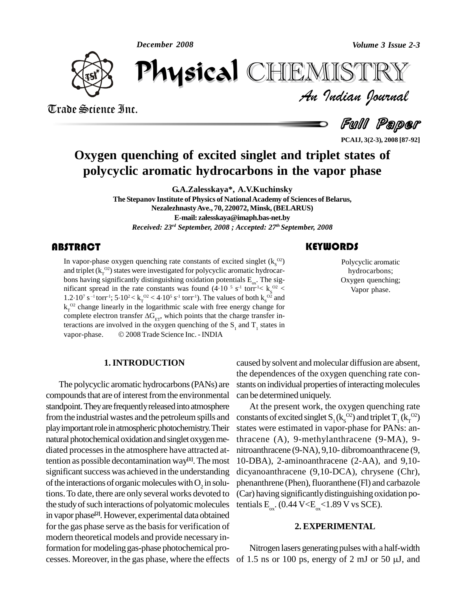*December 2008*



Trade Science Inc.

Trade Science Inc.

*Volume 3 Issue 2-3*<br>IISTRY<br>*Indian hournal* December 2008 CHEMISTRY

Full Paper

**PCAIJ, 3(2-3), 2008 [87-92]**

# **Oxygen quenching of excited singlet and triplet states of polycyclic aromatic hydrocarbons in the vapor phase**

**G.A.Zalesskaya\*, A.V.Kuchinsky**

**The Stepanov Institute of Physics of NationalAcademy of Sciences of Belarus, NezalezhnastyAve., 70, 220072, Minsk, (BELARUS) E-mail: [zalesskaya@imaph.bas-net.by](mailto:zalesskaya@imaph.bas-net.by)** *Received: 23 rd September, 2008 ; Accepted: 27 th September, 2008*

## **ABSTRACT**

In vapor-phase oxygen quenching rate constants of excited singlet ( $k_S^{O2}$ ) and triplet ( $k_T^{O2}$ ) states were investigated for polycyclic aromatic hydrocarbons having significantly distinguishing oxidation potentials E<sub></sub> In vapor-phase oxygen quenching rate constants of excited singlet  $(k_s^{\Omega2})$ bons having significantly distinguishing oxidation potentials  $E_{\alpha}$ . The sigand triplet  $(k_1^{\text{O2}})$  states were investigated for polycyclic aromatic hydrocarbons having significantly distinguishing oxidation potentials  $E_{\text{ox}}$ . The significant spread in the rate constants was found (4·10<sup>5</sup> s bons having significant spread<br>1.2.10<sup>7</sup> s<sup>-1</sup> torr<sup>-1</sup> <sup>7</sup> s<sup>-1</sup> torr<sup>-1</sup>; 5·10<sup>2</sup> <  $k_T^{-02}$  < 4·10<sup>5</sup> s<sup>-1</sup> torr<sup>-1</sup>). The values of both  $k_S^{-02}$  and nificantly distinguishing oxid<br>in the rate constants was fo<br>  $5.5 \cdot 10^2 < k_r^{0.2} < 4 \cdot 10^5 \text{ s}^{-1} \text{ torr}^{-1}$  $k_{\tau}^{\circ}$ <sup>o2</sup> change linearly in the logarithmic scale with free energy change for 1.2.10<sup>7</sup> s<sup>-1</sup> torr<sup>1</sup>; 5.10<sup>2</sup> <  $k_T^{O2}$  < 4.10<sup>5</sup> s<sup>-1</sup> torr<sup>1</sup>). The values of both  $k_S^{O2}$  and  $k_T^{O2}$  change linearly in the logarithmic scale with free energy change for complete electron transfer  $\Delta G_{ET}$ , whic teractions are involved in the oxygen quenching of the  $S_1$  and  $T_1$  states in vapor-phase. © 2008 Trade Science Inc. - INDIA

#### **1.INTRODUCTION**

The polycyclic aromatic hydrocarbons(PANs) are compounds that are of interest from the environmental standpoint. They are frequently released into atmosphere from the industrial wastes and the petroleum spills and play important role in atmospheric photochemistry. Their natural photochemical oxidation and singlet oxygen mediated processesin the atmosphere have attracted attention as possible decontamination way **[1]**. The most significant success was achieved in the understanding of the interactions of organic molecules with  $O_2$  in solutions.To date, there are only several works devoted to the study of such interactions of polyatomic molecules in vapor phase **[2]**.However, experimental data obtained for the gas phase serve asthe basisfor verification of modern theoretical models and provide necessary information for modeling gas-phase photochemical promodern theoretical models and provide necessary in-<br>formation for modeling gas-phase photochemical pro-<br>cesses. Moreover, in the gas phase, where the effects of 1.5 ns or 100 ps, energy of 2 mJ or 50  $\mu$ J, and

caused bysolvent and molecular diffusion are absent, the dependences of the oxygen quenching rate con stants on individual properties of interacting molecules can be determined uniquely.

At the present work, the oxygen quenching rate constants of excited singlet  $S_1(k_s^{\rm O2})$  and triplet  $T_1(k_T^{\rm O2})$ states were estimated in vapor-phase for PANs: anthracene (A), 9-methylanthracene (9-MA), 9 nitroanthracene (9-NA), 9,10- dibromoanthracene (9, 10-DBA), 2-aminoanthracene (2-AA), and 9,10 dicyanoanthracene (9,10-DCA), chrysene (Chr), phenanthrene (Phen), fluoranthene (Fl) and carbazole (Car) having significantlydistinguishing oxidation potentials  $E_{ox}$ . (0.44 V< $E_{ox}$ <1.89 V vs SCE).

#### **2. EXPERIMENTAL**

Nitrogen lasers generating pulses with a half-width

## **KEYWORDS**

Polycyclic aromatic<br>hydrocarbons;<br>Oxygen quenching; Polycyclic aromatic hydrocarbons; Vapor phase.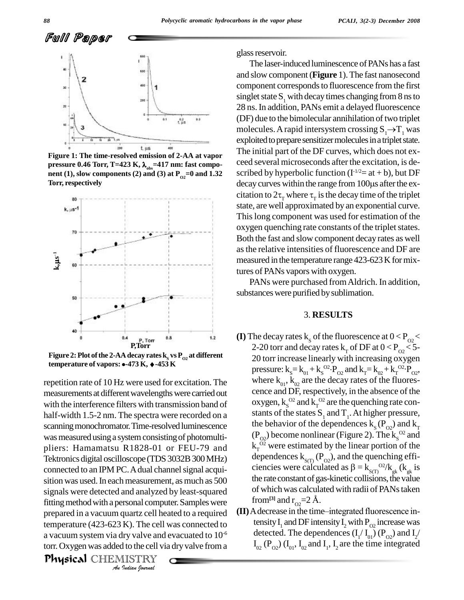

**Figure 1: The time-resolved emission of 2-AA at vapor Torr, respectively**



**Figure 2: Plot of the 2-AA decay rates**  $\mathbf{k}_{\mathrm{s}}$  **vs**  $\mathbf{P}_{\mathrm{O2}}$  **at different F**,Torr<br>Figure 2: Plot of the 2-AA decay rates k<sub>s</sub> vs P<sub>02</sub> at differer<br>temperature of vapors: •-473 K, *•-*453 K

fitting method with a personal computer. Samples were **Finally** *I*<br>*Indiana I*<br>*I*<br>*I*<br>*I*<br>*I*<br>*IISTRY<br><i>IISTRY*<br>*Indian Iournal* repetition rate of 10 Hz were used for excitation. The where  $K_{01}$ ,  $K_{02}$  are the decay rates of the fluores-<br>measurements at different wavelengths were carried out cence and DF, respectively, in the absence of the measurements at different wavelengths were carried out with the interference filters with transmission band of half-width 1.5-2 nm. The spectra were recorded on a scanning monochromator. Time-resolved luminescence was measured using a system consisting of photomultipliers: Hamamatsu R1828-01 or FEU-79 and  $k_T^{0.2}$  were estimated by the linear portion of the Tektronics digital oscilloscope (TDS 3032B 300 MHz) dependences  $k_{\rm s(T)}(P_{\rm o2})$ , and the quenching effi-Tektronics digital oscilloscope (TDS 3032B 300 MHz) connected to an IPM PC. A dual channel signal acquisition was used. In each measurement, as much as  $500$ signals were detected and analyzed by least-squared of which was calculared fitting method with a personal computer Samples were  $\frac{1}{2}$  from<sup>[3]</sup> and  $r_{\text{eq}}=2$  Å. prepared in a vacuum quartz cell heated to a required temperature (423-623 K). The cell was connected to a vacuum system via dry valve and evacuated to  $10^{-6}$ torr. Oxygen was added to the cell via dry valve from a

on. Oxygen was added to the centra dry varve no.<br>**Physical** CHEMISTRY

glass reservoir.

The laser-induced luminescence of PANs has a fast and slow component(**Figure** 1).The fast nanosecond component corresponds to fluorescence from the first singlet state  $S<sub>1</sub>$  with decay times changing from 8 ns to 28 ns.In addition, PANs emit a delayed fluorescence (DF) due to the bimolecular annihilation of two triplet molecules. A rapid intersystem crossing  $S_1 \rightarrow T_1$  was exploited to prepare sensitizer molecules in a triplet state. The initial part of the DF curves, which does not ex ceed several microseconds after the excitation, is de scribed by hyperbolic function  $(I^{1/2}=at+b)$ , but DF ceed several microseconds after the excitation, is described by hyperbolic function  $(I^{1/2}=at+b)$ , but DF decay curves within the range from 100 $\mu$ s after the exscribed by hyperbolic function ( $\Gamma^{1/2}$ = at + b), but DF<br>decay curves within the range from 100µs after the ex-<br>citation to  $2\tau$ <sub>T</sub> where  $\tau$ <sub>T</sub> is the decay time of the triplet state, are well approximated by an exponential curve. Thislong component was used for estimation of the oxygen quenching rate constants of the triplet states. Both the fast and slow component decay rates as well asthe relative intensities of fluorescence and DF are measured in the temperature range 423-623 K for mixtures of PANs vapors with oxygen. Figure 1: The time-resolved emission of 2-AA at vapor<br>pressure 0.46 Torr, T=423 K,  $\lambda_{obs}$ =417 nm: fast compo-<br>nent (1), slow components (2) and (3) at  $P_{02}$ =0 and 1.32<br>Torr, respectively<br>example in the range from 100 u

> PANs were purchased fromAldrich. In addition, substances were purified by sublimation.

#### 3. **RESULTS**

- **(I)** The decay rates  $k_s$  of the fluorescence at  $0 < P_{02}$ 20 torr increase linearly with increasing oxygen pressure:  $k_s = k_{01} + k_s^{\text{O2}} \cdot P_{02}$  and  $k_T = k_{02} + k_T^{\text{O2}} \cdot P_{02}$ , tes k<sub>r</sub> of DF at  $0 < P_{\odot} <$ where  $k_{01}$ ,  $k_{02}$  are the decay rates of the fluores-<br>cence and DF, respectively, in the absence of the oxygen,  $k_{\rm s}^{\rm O2}$  and  $k_{\rm r}^{\rm O2}$  are the quenching rate constants of the states  $S_1$  and  $T_1$ . At higher pressure, the behavior of the dependences  $k_s(P_{\alpha})$  and  $k_T$  $(P_{O2})$  become nonlinear (Figure 2). The  $k_s^{\circ 2}$  and  $k_T^{\circ 2}$  were estimated by the linear portion of the  $k_T^{\overline{O2}}$  were estimated by the linear portion of the dependences  $k_{S(T)}(P_{O2})$ , and the quenching efficiencies were calculated as  $\beta = k_{S(T)}^{O2}/k_{gk}$  ( $k_{gk}$  is the rate constant of gas-kinetic collisions, the value of which was calculated with radii of PANs taken
- **(II)** A decrease in the time–integrated fluorescence intensity  $I_1$  and DF intensity  $I_2$  with  $P_{O2}$  increase was detected. The dependences  $(I_1/I_{01}) (P_{02})$  and  $I_2/$  $I_{02}$  (P<sub>02</sub>) (I<sub>01</sub>, I<sub>02</sub> and I<sub>1</sub>, I<sub>2</sub> are the time integrated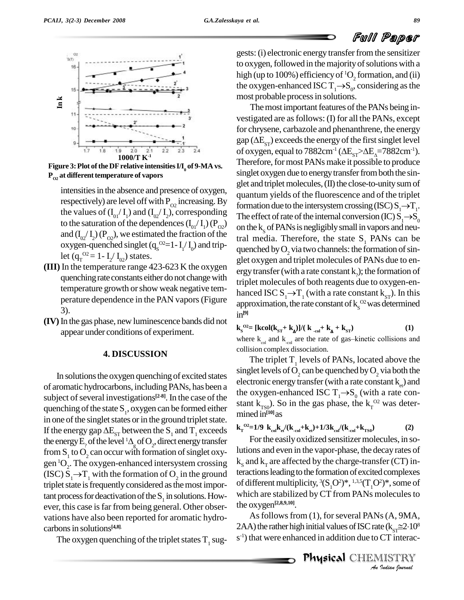



**Figure** 3: Plot of the DF relative intensities  $I/I_0$  of 9-MA vs.<br> $P_{02}$  at different temperature of vapors singl

intensities in the absence and presence of oxygen, respectively) are level off with  $P_{Q2}$  increasing. By formati the values of  $(I_{01}/I_1)$  and  $(I_{02}/I_2)$ , corresponding The eff to the saturation of the dependences  $(I_{01}/I_{1})(P_{02})$ and  $(I_{02}/I_2)(P_{02})$ , we estimated the fraction of the tral n oxygen-quenched singlet  $(q_s^{\text{O2}}=1-I_1/I_0)$  and triplet ( $q_T^{\; 02} = 1 - I_2 / I_{02}$ ) stat

- quenching rate constants either do not change with temperature growth orshow weak negative tem perature dependence in the PAN vapors(Figure 3).
- **(IV)**In the gas phase, new luminescence bands did not appear under conditions of experiment.

### **4. DISCUSSION**

In solutions the oxygen quenching of excited states of aromatic hydrocarbons, including PANs, has been a subject of several investigations<sup>[2-8]</sup>. In the case of the quenching of the state  $S_1$ , oxygen can be formed either in one of the singlet states or in the ground triplet state. quenching of the state  $S_1$ , oxygen can be formed either<br>in one of the singlet states or in the ground triplet state.<br>If the energy gap  $\Delta E_{ST}$  between the  $S_1$  and  $T_1$  exceeds in one of the singlet states or in the grou<br>If the energy gap  $\Delta E_{ST}$  between the  $S_1$ <br>the energy  $E_2$  of the level <sup>1</sup> $\Delta_g$  of  $O_2$ , direc  $\int_{\mathbb{R}}$  of O<sub>2</sub>, direct energy transfer from S<sub>1</sub> to O<sub>2</sub> can occur with formation of singlet oxy-<br>gen<sup>1</sup>O<sub>2</sub>. The oxygen-enhanced intersystem crossing  $k_s$  a<br>(ISC)  $S_1 \rightarrow T_1$  with the formation of O<sub>2</sub> in the ground tera  ${}^{1}O_{2}$ . The oxygen-enhanced intersystem crossing  ${}^{k}S_{s}$  and (ISC)  $S_1 \rightarrow T_1$  with the formation of O<sub>2</sub> in the ground triplet state is frequently considered as the most important process for deactivation of the  $S_1$  in solutions. How-<br>whi ever, this case is far from being general. Other observations have also been reported for aromatic hydro carbonsin solutions **[4,8]**.

The oxygen quenching of the triplet states  $T_1$  sug-

gests:(i) electronic energy transferfromthe sensitizer to oxygen, followed in the majority of solutions with a high (up to 100%) efficiency of  ${}^{1}O_{2}$  formation, and (ii) to oxygen, followed in the majority of sc<br>high (up to 100%) efficiency of <sup>1</sup>O<sub>2</sub> form<br>the oxygen-enhanced ISC T<sub>1</sub>→S<sub>0</sub>, cons the oxygen-enhanced ISC  $T_1 \rightarrow S_0$ , considering as the most probable process in solutions.

102)  $\mu$  ICt ( $q_T = 1 - I_2 / I_{02}$ ) states.<br>**(III)** In the temperature range 423-623 K the oxygen argustransfor (with a rate constant k); the formation of The most important features of the PANs being investigated are as follows: (I) for all the PANs, except for chrysene, carbazole and phenanthrene, the energy vestigated are as follows: (I) for all the PANs, except<br>for chrysene, carbazole and phenanthrene, the energy<br>gap ( $\Delta E_{ST}$ ) exceeds the energy of the first singlet level of oxygen, equal to 7882cm<sup>-1</sup> ( $\Delta E_{ST} > \Delta E_{\Delta} = 7882 \text{cm}^{-1}$ ).<br>Therefore, for most PANs make it possible to produce singlet oxygen due to energy transfer from both the singlet and triplet molecules,  $(II)$  the close-to-unity sum of quantum yields of the fluorescence and of the triplet glet and triplet molecules, (II) the close-to-unity sum of<br>quantum yields of the fluorescence and of the triplet<br>formation due to the intersystem crossing (ISC)  $S_1 \rightarrow T_1$ . quantum yields of the fluorescence and of the triplet<br>formation due to the intersystem crossing (ISC)  $S_1 \rightarrow T_1$ .<br>The effect of rate of the internal conversion (IC)  $S_1 \rightarrow S_0$ on the  $k<sub>s</sub>$  of PANs is negligibly small in vapors and neutral media. Therefore, the state  $S<sub>1</sub>$  PANs can be quenched by  $O_2$  via two channels: the formation of sinergy transfer (with a rate constant  $k_{\alpha}$ ); the formation of triplet molecules of both reagents due to oxygen-en ergy transfer (with a rate constant k<sub>2</sub>); the formation of<br>triplet molecules of both reagents due to oxygen-en-<br>hanced ISC S<sub>1</sub> $\rightarrow$ T<sub>1</sub> (with a rate constant k<sub>ST</sub>). In this approximation, the rate constant of  $k_{\rm s}^{\rm O2}$  was determined in **[9]**

$$
\mathbf{k}_{\rm s}^{\rm O2=}
$$
 [kcol( $\mathbf{k}_{\rm sr} + \mathbf{k}_{\rm A}$ )]/( $\mathbf{k}_{\rm col} + \mathbf{k}_{\rm A} + \mathbf{k}_{\rm sr}$ ) (1)  
where  $\mathbf{k}_{\rm col}$  and  $\mathbf{k}_{\rm col}$  are the rate of gas–kinetic collisions and

collision complex dissociation. The triplet  $T_1$  levels of PANs, located above the singlet levels of  $O_2$  can be quenched by  $O_2$  via both the electronic energy transfer (with a rate constant  $k_{n}$ ) and the oxygen-enhanced ISC  $T_1 \rightarrow S_0$  (with a rate constant  $k_{\text{rso}}$ ). So in the gas phase, the  $k_{\text{rso}}^{\text{O2}}$  was determined in **[10]**as

$$
k_{\rm T}^{\ \ 02} = 1/9 \ k_{\rm col} k_{\rm e}/(k_{\rm col} + k_{\rm et}) + 1/3 k_{\rm col}/(k_{\rm col} + k_{\rm TS0}) \tag{2}
$$

For the easily oxidized sensitizer molecules, in solutions and even in the vapor-phase, the decay rates of  $k<sub>s</sub>$  and  $k<sub>T</sub>$  are affected by the charge-transfer (CT) interactions leading to the formation of excited complexes of different multiplicity,  ${}^3(S, O^2)^*$ ,  ${}^{1,3,5}(T, O^2)^*$ , some of which are stabilized by CT from PANs molecules to the oxygen **[2,8,9,10]**.

*IS* (A, 9MA,<br>*I*e (k<sub>ST</sub>=2·10<sup>8</sup><br>CT interac-<br>IISTRY<br>*Indian Iournal* As follows from (1), for several PANs (A, 9MA, the oxygen<sup>[2,8,9,10]</sup>.<br>As follows from (1), for several PANs (A, 9MA,<br>2AA) the rather high initial values of ISC rate (k<sub>ST</sub> $\approx$ 2·10<sup>8</sup> s<sup>-1</sup>) that were enhanced in addition due to CT interac-

Physical CHEMISTRY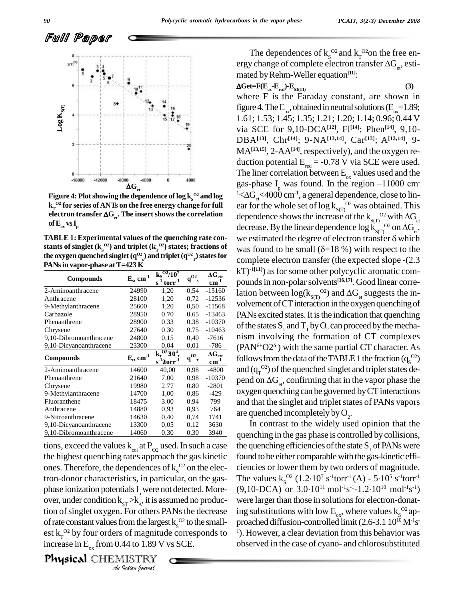Full Paper



Figure 4: Plot showing the dependence of log k<sub>s</sub><sup>02</sup> and log<br>k<sub>r</sub><sup>02</sup> for series of ANTs on the free energy change for full ear for<br>electron transfer  $\Delta G_{et}$ . The insert shows the correlation depe  $k_{\text{r}}^{O2}$  for series of ANTs on the free energy change for full electron transfer  $\Delta G_{st}$ . The insert shows the correlation  $\mathbf{of}\,\mathbf{E}_{\mathrm{ox}}\,\mathbf{vs}\,\mathbf{I}_{\mathrm{p}}$ 

**the** <code>oxygen</code> <code>quenched</code> <code>singlet</code> ( $q^{O2}$ <sub>s</sub>) **and triplet** ( $q^{O2}$ <sub>T</sub>) **states for**  $\overline{Q}$ **PANsin vapor-phase atT=423 K**

| <b>Compounds</b>       | $E_s$ , cm <sup>-1</sup> | $k_s^{\overline{O2}/10^7}$<br>$torr^{-1}$<br>$s^{\tilde{1}}$ | .02<br>d.<br>$\mathbf{s}$      | $\Delta G_{et}$<br>$cm^{-1}$ |
|------------------------|--------------------------|--------------------------------------------------------------|--------------------------------|------------------------------|
|                        |                          |                                                              |                                |                              |
| Anthracene             | 28100                    | 1,20                                                         | 0,72                           | $-12536$                     |
| 9-Methylanthracene     | 25600                    | 1,20                                                         | 0.50                           | $-11568$                     |
| Carbazole              | 28950                    | 0.70                                                         | 0.65                           | $-13463$                     |
| Phenanthrene           | 28900                    | 0.33                                                         | 0.38                           | $-10370$                     |
| Chrysene               | 27640                    | 0.30                                                         | 0.75                           | $-10463$                     |
| 9,10-Dibromoanthracene | 24800                    | 0.15                                                         | 0,40                           | -7616                        |
| 9,10-Dicyanoanthracene | 23300                    | 0.04                                                         | 0,01                           | $-786$                       |
| <b>Compounds</b>       | $E_t$ , cm <sup>-1</sup> | $k_{r}^{O2}$ $10^{4}$ ,<br>$s^{-1}$ $\bm{2}$ orr $^{-1}$     | $\sim 02$<br>q<br>$\mathbf{T}$ | $\Delta G_{et}$<br>$cm^{-1}$ |
| 2-Aminoanthracene      | 14600                    | 40,00                                                        | 0.98                           | $-4800$                      |
| Phenanthrene           | 21640                    | 7.00                                                         | 0.98                           | $-10370$                     |
| Chrysene               | 19980                    | 2.77                                                         | 0.80                           | $-2801$                      |
| 9-Methylanthracene     | 14700                    | 1,00                                                         | 0,86                           | -429                         |
| Fluoranthene           | 18475                    | 3.00                                                         | 0.94                           | 799                          |
| Anthracene             | 14880                    | 0.93                                                         | 0.93                           | 764                          |
| 9-Nitroanthracene      | 14630                    | 0.40                                                         | 0,74                           | 1741                         |
| 9,10-Dicyanoanthracene | 13300                    | 0.05                                                         | 0,12                           | 3630                         |
| 9,10-Dibromoanthracene | 14060                    | 0,30                                                         | 0.30                           | 3940                         |

phase ionization potentials  $I_p$  were not detected. More-<br>over, under condition  $k_{ST} > k_A$ , it is assumed no produc-*IST* A<sub>A</sub>, it is as<br>
For others P<br> *I* rom the large:<br> *I* of magnitude<br> *I* 1.89 V<br> *I* ISTRY tions, exceed the values  $k_{col}$  at  $P_{O2}$  used. In such a case the highest quenching rates approach the gas kinetic ones. Therefore, the dependences of  $k_S^{\Omega2}$  on the electron-donor characteristics, in particular, on the gas phase ionization potentials  $I_{p}$  were not detected. More- (9,1) tion of singlet oxygen. For others PANs the decrease of rate constant values from the largest  $k_S^{\text{O2}}$  to the small- proest  $k_T^{\alpha}$  by four orders of magnitude corresponds to  $^{-1}$ ). Hov increase in  $E_{ox}$  from 0.44 to 1.89 V vs SCE.

**Physical** CHEMISTRY

The dependences of  $k_s^{\circ 2}$  and  $k_T^{\circ 2}$  on the free en-The dependences of  $k_s^{\text{O2}}$  and  $k_r^{\text{O2}}$  on the free energy change of complete electron transfer  $\Delta G_{el}$ , esti-<br>mated by Rehm-Weller equation<sup>[11]</sup>: mated by Rehm-Weller equation<sup>[11]</sup>:  $\mathbf{c}$ 

#### $\Delta \text{Get} = F(E_{\text{ox}} - E_{\text{red}}) - E_{\text{S1(T1)}}$  (3)

where F is the Faraday constant, are shown in figure 4. The  $\text{E}_{\text{ox}}$ , obtained in neutral solutions ( $\text{E}_{\text{ox}}$ =1.89; 1.61; 1.53; 1.45; 1.35; 1.21; 1.20; 1.14; 0.96; 0.44 V via SCE for 9,10-DCA**[12]**, Fl **[14]**; Phen **[14]**, 9,10- DBA**[13]**, Chr **[14]**; 9-NA**[13,14]**, Car **[13]**; A**[13,14]**, 9- MA**[13,15]**, 2-AA**[14]**, respectively), and the oxygen re duction potential  $E_{red} = -0.78$  V via SCE were used.<br>The liner correlation between  $E_{ox}$  values used and the gas-phase  $I_{ox}$  was found. In the region  $-11000$  cm gas-phase I<sub>p</sub> was f The liner correlation between  $E_{ox}$  values used and the gas-phase  $I_p$  was found. In the region  $-11000$  cm<sup>-1</sup>  $\angle \Delta G_{et}$   $\angle 4000$  cm<sup>-1</sup>, a general dependence, close to linear for the whole set of log  $k_{\rm s(T)}^{\rm O2}$  was obtained. This dependence shows the increase of the  $k_{S(T)}^{\hspace{0.2cm} \rm{O2}}$  w <sup>1</sup> < $\Delta G_{\text{et}}$  <4000 cm<sup>-1</sup>, a general dependence, close to linear for the whole set of log k<sub>S(T)</sub><sup>02</sup> was obtained. This dependence shows the increase of the k<sub>S(T)</sub><sup>02</sup> with  $\Delta G_{\text{et}}$  decrease. By the linear depend ear for the whole set of log  $k_{S(T)}^{O2}$  was obtained. This<br>dependence shows the increase of the  $k_{S(T)}^{O2}$  with  $\Delta G_{et}$ <br>decrease. By the linear dependence log  $k_{S(T)}^{O2}$  on  $\Delta G_{et}$ ,<br>we estimated the degree of electro was found to be small (=18 %) with respect to the complete electron transfer (the expected slope -(2.3 kT)<sup>-1[11]</sup>) as for some other polycyclic aromatic com**ounder** electron transfer (the expected slope -(2.3)<br>  $\frac{AC_{\text{et}}}{\text{cm}^1}$  kT)<sup>-1[11]</sup>) as for some other polycyclic aromatic compounds in non-polar solvents<sup>[16,17]</sup>. Good linear correlation between log( $\rm{k_{S(T)}}^{O2})$  a kT)<sup>-1[11]</sup>) as for some other polycyclic aromatic compounds in non-polar solvents<sup>[16,17]</sup>. Good linear correlation between  $log(k_{\rm s(T)})$  and  $\Delta G_{\rm et}$  suggests the in-volvement of CT interaction in the oxygen quenching of PANs excited states. It is the indication that quenching of the states  $S_1$  and  $T_1$  by  $O_2$  can proceed by the mechanism involving the<br>(PAN<sup> $\delta$ +</sup>O2<sup> $\delta$ -)</sup> with the  $(PAN^{\delta+}O2^{\delta})$  with the same partial CT character. As Followsfrom the data of the TABLE 1 the fraction (q<sub>s</sub><sup>o2</sup>)<br>  $\frac{dG_{\text{ee}}}{dG_{\text{ee}}}$  (PAN<sup> $\delta$ +</sup>O2<sup> $\delta$ -</sup>) with the same partial CT character. As<br>
follows from the data of the TABLE 1 the fraction (q<sub>s</sub><sup>o2</sup>) and  $(q_T^{\rm O2})$  of the quenched singlet and triplet states defollows from the data of the TABLE 1 the fraction  $(q_s^{\text{O2}})$ <br>and  $(q_r^{\text{O2}})$  of the quenched singlet and triplet states de-<br>pend on  $\Delta G_{\text{et}}$ , confirming that in the vapor phase the oxygen quenching can be governed by CT interactions and that the singlet and triplet states of PANs vapors are quenched incompletely by  $O_2$ . **TABLE 1: Experimental values of the quenching rate con-** we estimated the degree of electron transfer  $\delta$  which **stants** of singlet  $(k_s^{\text{O2}})$  and triplet  $(k_r^{\text{O2}})$  states; fractions of was found to be small  $(\delta=18\%)$  with respect to the

In contrast to the widely used opinion that the quenching in the gas phase is controlled by collisions, the quenching efficiencies of the state  $S<sub>1</sub>$  of PANs were found to be either comparable with the gas-kinetic efficiencies or lower them by two orders of magnitude. found to be either comparable with the gas-kinetic effi-<br>ciencies or lower them by two orders of magnitude.<br>The values  $k_s^{O2}$  (1.2.10<sup>7</sup> s<sup>-1</sup>torr<sup>-1</sup>(A) - 5.10<sup>5</sup> s<sup>-1</sup>torr<sup>-1</sup> ciencies or lower them by two orders of magnitud<br>The values  $k_s^{O2}$  (1.2·10<sup>7</sup> s<sup>-1</sup>torr<sup>-1</sup>(A) - 5·10<sup>5</sup> s<sup>-1</sup>torr<br>(9,10-DCA) or 3.0·10<sup>11</sup> mol<sup>-1</sup>s<sup>-1</sup>-1.2·10<sup>10</sup> mol<sup>-1</sup>s  $^{11}$  mol<sup>-1</sup>s<sup>-1</sup>-1.2·10<sup>10</sup> mol<sup>-1</sup>s<sup>-1</sup>) were larger than those in solutions for electron-donating substitutions with low  $E_{ox}$ , where values  $k_S^{\circ 2}$  approached diffusion-controlled limit  $(2.6-3.1\;10^{10}\,M^{-1}s^{-1})$ <sup>1</sup>). However, a clear deviation from this behavior was observed in the case of cyano- and chlorosubstituted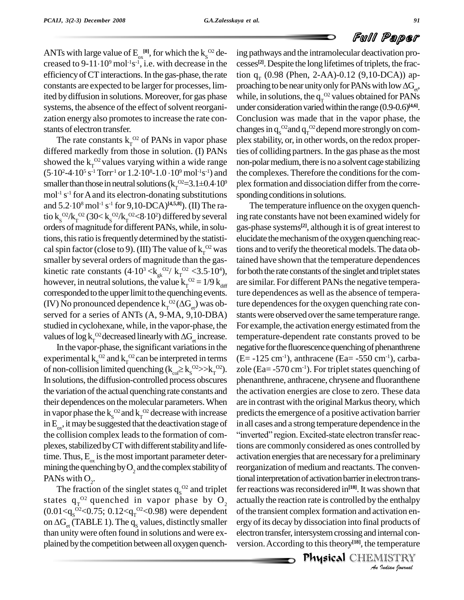ANTs with large value of  $E_{\alpha}^{[8]}$ , for which the  $k_S^{O2}$  de-ANTs with large value of  $E_{\alpha}^{[8]}$ , for which the  $k_S^{O2}$  de-<br>creased to 9-11·10<sup>9</sup> mol<sup>-1</sup>s<sup>-1</sup>, i.e. with decrease in the cesses efficiency of CT interactions. In the gas-phase, the rate constants are expected to be larger for processes, limited by diffusion in solutions. Moreover, for gas phase systems, the absence of the effect of solvent reorganization energy also promotes to increase the rate constants of electron transfer.

The rate constants  $k_T^{\text{O2}}$  of PANs in vapor phase plex s differed markedly from those in solution. (I) PANs showed the  $k_T^{\alpha}$  values varying within a wide range non-p differed markedly from those in solution. (I) P<br>showed the  $k_T^{O2}$  values varying within a wide ra<br>(5.10<sup>2</sup>-4.10<sup>5</sup> s<sup>-1</sup> Torr<sup>-1</sup> or 1.2.10<sup>8</sup>-1.0.10<sup>9</sup> mol<sup>-1</sup>s<sup>-1</sup>)  $^5$  s<sup>-1</sup> Torr<sup>-1</sup> or  $1.2$ ·10<sup>8</sup>-1.0 ·10<sup>9</sup> mol<sup>-1</sup>s<sup>-1</sup>) and smaller than those in neutral solutions  $(k_T^{O2}=3.1\pm \text{mol}^{-1} \text{ s}^{-1}$  for A and its electron-donating substiand  $5.2 \cdot 10^8 \text{ mol}^{-1} \text{ s}^{-1}$  for  $9,10\text{-DCA}^{[4,5,8]}$ ). (II) a wide range non-po<br>  $^{99}$  mol<sup>-1</sup>s<sup>-1</sup>) and the con<br>  $^{92}=3.1\pm0.4\cdot10^9$  plex for mol<sup>-1</sup> s<sup>-1</sup> for A and its electron-donating substitutions spon <sup>8</sup> mol -1 s -1 for 9,10-DCA) **[4,5,8]**). (II) The ramol<sup>-1</sup> s<sup>-1</sup> for A and its electron-donating substitutions spand 5.2·10<sup>8</sup> mol<sup>-1</sup> s<sup>-1</sup> for 9,10-DCA)<sup>[4,5,8]</sup>). (II) The ratio k<sub>S</sub><sup>02</sup>/k<sub>T</sub><sup>02</sup> (30< k<sub>S</sub><sup>02</sup>/k<sub>T</sub><sup>02</sup><8·10<sup>2</sup>) differed by several ing orders of magnitude for different PANs, while, in solutions, thisratio isfrequentlydetermined bythe statisti cal spin factor (close to 9). (III) The value of  $k_T^{O2}$  was tions smaller by several orders of magnitude than the gas cal spin factor (close to 9). (III) The value of  $k_T^{O2}$  was tions<br>smaller by several orders of magnitude than the gastaine<br>kinetic rate constants  $(4.10^3 \ll k_g^{O2}/k_T^{O2} \ll 3.5.10^4)$ , for b however, in neutral solutions, the value  $k_T^{O2} = 1/9 k_{diff}$  are corresponded to the upper limit to the quenching events. ture (IV) No pronounced dependence  $k_T^{O2}(\Delta G_{el})$  was ob- ture served for a series of ANTs (A, 9-MA, corresponded to the upper limit to the quenching events. (IV) No pronounced dependence  $k_T^{O2}(\Delta G_{el})$  was observed for a series of ANTs (A, 9-MA, 9,10-DBA) studied in cyclohexane, while, in the vapor-phase, the values of  $\log k_T^{\,\mathrm{O2}}$  decre ved for a series of ANTs (A, 9-MA, 9,10-DBA) stants<br>lied in cyclohexane, while, in the vapor-phase, the For ex<br>les of log  $k_T^{\circ}$  decreased linearly with  $\Delta G_{\text{et}}$  increase. temper<br>In the vapor-phase, the significant v

experimental  $k_s^{\text{O2}}$  and  $k_r^{\text{O2}}$  can be interpreted in terms (E= In the vapor-phase, the significant variations in the experimental  $k_s^{O2}$  and  $k_r^{O2}$  can be interpreted in term of non-collision limited quenching  $(k_{\text{col}} \geq k_s^{O2} >> k_r^{O2})$  $\frac{02}{5}$   $\frac{1}{2}$   $\frac{1}{2}$   $\frac{1}{2}$   $\frac{1}{2}$   $\frac{1}{2}$   $\frac{1}{2}$   $\frac{1}{2}$   $\frac{1}{2}$   $\frac{1}{2}$   $\frac{1}{2}$   $\frac{1}{2}$   $\frac{1}{2}$   $\frac{1}{2}$   $\frac{1}{2}$   $\frac{1}{2}$   $\frac{1}{2}$   $\frac{1}{2}$   $\frac{1}{2}$   $\frac{1}{2}$   $\frac{1}{2}$   $\frac{1}{2}$  In solutions, the diffusion-controlled process obscures the variation of the actual quenching rate constants and their dependences on the molecular parameters. When in vapor phase the  $k_s^{\text{O2}}$  and  $k_r^{\text{O2}}$  decrease with increase predic in  $E_{\alpha x}$ , it may be suggested that the deactivation stage of in a the collision complex leads to the formation of com-<br>"inverted" region. Excited-state electron transfer reacplexes, stabilized by CT with different stability and lifetime. Thus,  $E_{\alpha}$  is the most important parameter deter- action mining the quenching by  $O_2$  and the complex stability of PANs with  $O_2$ .

The fraction of the singlet states  $q_s^{O2}$  and triplet fer states  $q_T^{\; 02}$  quenched in vapor phase by  $O_2$  act  $(0.01 \le q_s^{02} \le 0.75; 0.12 \le q_T^{02} \le 0.98)$  were dependent of states  $q_T^{O2}$  quenched in vapor phase by  $O_2$  actu<br>(0.01< $q_s^{O2}$ <0.75; 0.12< $q_T^{O2}$ <0.98) were dependent of the on  $\Delta G_{\text{et}}$  (TABLE 1). The  $q_s$  values, distinctly smaller ergy than unitywere often found in solutions and were ex plained bythe competition between all oxygen quench-

-1) and the complexes. Therefore the conditionsforthe com- <sup>9</sup> plex formation and dissociation differ from the correing pathways and the intramolecular deactivation pro cesses<sup>[2]</sup>. Despite the long lifetimes of triplets, the fraction  $q_T$  (0.98 (Phen, 2-AA)-0.12 (9,10-DCA)) apcesses<sup>[2]</sup>. Despite the long lifetimes of triplets, the fraction  $q_T$  (0.98 (Phen, 2-AA)-0.12 (9,10-DCA)) approaching to be near unity only for PANs with low  $\Delta G_{et}$ , while, in solutions, the  $q_T^{\Omega^2}$  values obtained under consideration varied within the range (0.9-0.6)<sup>[4,6]</sup>. Conclusion was made that in the vapor phase, the changes in  $q_{\rm s}^{\rm~O2}$  and  $q_{\rm T}^{\rm~O2}$  depend more strongly on complex stability, or, in other words, on the redox properties of colliding partners. In the gas phase asthe most non-polar medium, there is no a solvent cage stabilizing sponding conditions in solutions.

> *An*actually the reaction rate is controlled by the enthalpy *Indian*<br>*Indian*<br>*Indian*<br>*IISTRY*<br>*Indian bouvad* The temperature influence on the oxygen quenching rate constants have not been examined widely for gas-phase systems **[2]**, although it is of great interest to elucidate the mechanism of the oxygen quenching reactions and to verify the theoretical models. The data obtained have shown that the temperature dependences for both the rate constants of the singlet and triplet states are similar. For different PANs the negative temperature dependences as well as the absence of temperature dependences for the oxygen quenching rate constants were observed over the same temperature range. For example, the activation energyestimated from the temperature-dependent rate constants proved to be negative for the fluorescence quenching of phenanthrene  $(E=-125 \text{ cm}^{-1})$ , anthracene  $(Ea=-550 \text{ cm}^{-1})$ , carbazole (Ea=  $-570 \text{ cm}^{-1}$ ). For triplet states quenching of phenanthrene, anthracene, chrysene and fluoranthene the activation energies are close to zero. These data are in contrast with the original Markus theory, which predicts the emergence of a positive activation barrier<br>in all cases and a strong temperature dependence in the<br>"inverted" region. Excited-state electron transfer reacin all cases and a strong temperature dependence in the tions are commonly considered as ones controlled by activation energies that are necessary for a preliminary reorganization of mediumand reactants. The conventional interpretation of activation barrier in electron transfer reactions was reconsidered in<sup>[18]</sup>. It was shown that of the transient complex formation and activation energy of its decay by dissociation into final products of electron transfer, intersystem crossing and internal conversion. According to this theory<sup>[18]</sup>, the temperature

ro ans areas components in the components of the components of the components of the  $\mathbb{P}$